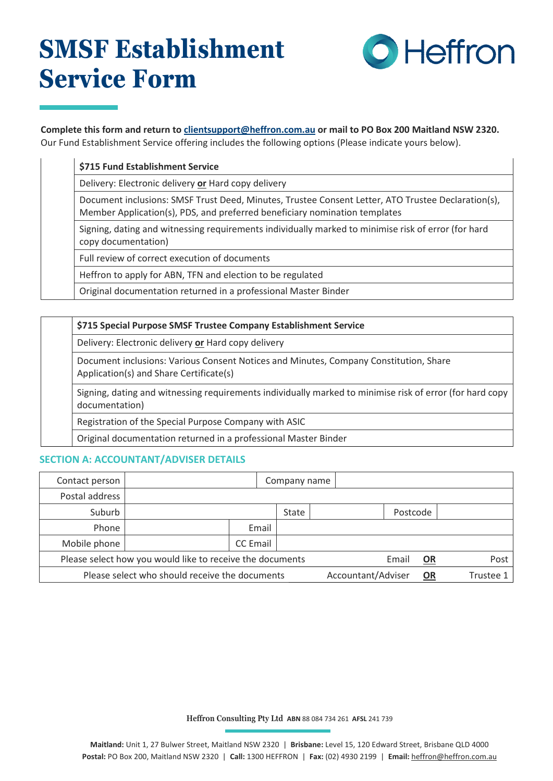# **SMSF Establishment Service Form**



#### **Complete this form and return to [clientsupport@heffron.com.au](mailto:clientsupport@heffron.com.au) or mail to PO Box 200 Maitland NSW 2320.** Our Fund Establishment Service offering includes the following options (Please indicate yours below).

| \$715 Fund Establishment Service                                                                                                                                                 |
|----------------------------------------------------------------------------------------------------------------------------------------------------------------------------------|
| Delivery: Electronic delivery or Hard copy delivery                                                                                                                              |
| Document inclusions: SMSF Trust Deed, Minutes, Trustee Consent Letter, ATO Trustee Declaration(s),<br>Member Application(s), PDS, and preferred beneficiary nomination templates |
| Signing, dating and witnessing requirements individually marked to minimise risk of error (for hard<br>copy documentation)                                                       |
| Full review of correct execution of documents                                                                                                                                    |
| Heffron to apply for ABN, TFN and election to be regulated                                                                                                                       |
| Original documentation returned in a professional Master Binder                                                                                                                  |

| \$715 Special Purpose SMSF Trustee Company Establishment Service                                                                 |  |  |  |  |
|----------------------------------------------------------------------------------------------------------------------------------|--|--|--|--|
| Delivery: Electronic delivery or Hard copy delivery                                                                              |  |  |  |  |
| Document inclusions: Various Consent Notices and Minutes, Company Constitution, Share<br>Application(s) and Share Certificate(s) |  |  |  |  |
| Signing, dating and witnessing requirements individually marked to minimise risk of error (for hard copy<br>documentation)       |  |  |  |  |
| Registration of the Special Purpose Company with ASIC                                                                            |  |  |  |  |
| Original documentation returned in a professional Master Binder                                                                  |  |  |  |  |

#### **SECTION A: ACCOUNTANT/ADVISER DETAILS**

| Contact person                                                                           |  |                 | Company name |  |          |                  |  |
|------------------------------------------------------------------------------------------|--|-----------------|--------------|--|----------|------------------|--|
| Postal address                                                                           |  |                 |              |  |          |                  |  |
| Suburb                                                                                   |  |                 | State        |  | Postcode |                  |  |
| Phone                                                                                    |  | Email           |              |  |          |                  |  |
| Mobile phone                                                                             |  | <b>CC</b> Email |              |  |          |                  |  |
| $\Box$ Email<br>Please select how you would like to receive the documents<br>OR          |  |                 |              |  |          | $\Box$ Post      |  |
| $\Box$ Accountant/Adviser<br>Please select who should receive the documents<br><b>OR</b> |  |                 |              |  |          | $\Box$ Trustee 1 |  |

**Heffron Consulting Pty Ltd ABN** 88 084 734 261 **AFSL** 241 739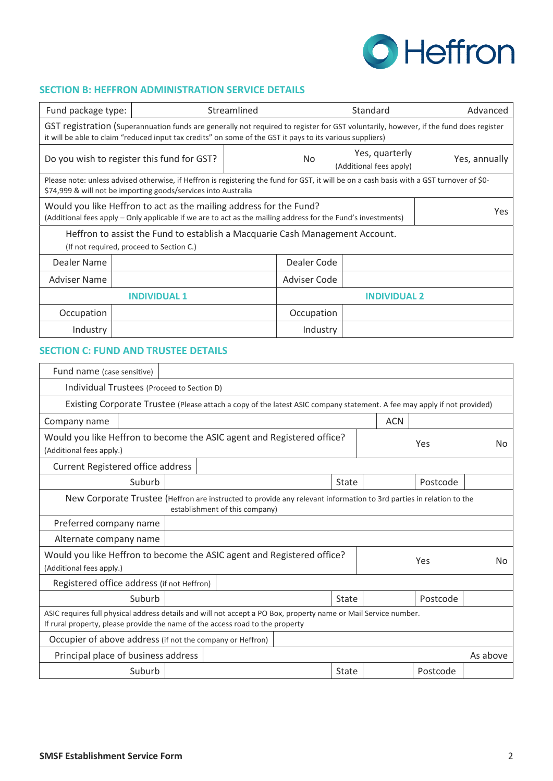

## **SECTION B: HEFFRON ADMINISTRATION SERVICE DETAILS**

| Fund package type:                                                                                                                                                                                                                                 |             |                                                                                                                                                                                                             | Streamlined |            | Standard                                  | Advanced |  |
|----------------------------------------------------------------------------------------------------------------------------------------------------------------------------------------------------------------------------------------------------|-------------|-------------------------------------------------------------------------------------------------------------------------------------------------------------------------------------------------------------|-------------|------------|-------------------------------------------|----------|--|
| GST registration (Superannuation funds are generally not required to register for GST voluntarily, however, if the fund does register<br>it will be able to claim "reduced input tax credits" on some of the GST it pays to its various suppliers) |             |                                                                                                                                                                                                             |             |            |                                           |          |  |
|                                                                                                                                                                                                                                                    |             | Do you wish to register this fund for GST?                                                                                                                                                                  |             | No         | Yes, quarterly<br>(Additional fees apply) |          |  |
|                                                                                                                                                                                                                                                    |             | Please note: unless advised otherwise, if Heffron is registering the fund for GST, it will be on a cash basis with a GST turnover of \$0-<br>\$74,999 & will not be importing goods/services into Australia |             |            |                                           |          |  |
| Would you like Heffron to act as the mailing address for the Fund?<br>(Additional fees apply – Only applicable if we are to act as the mailing address for the Fund's investments)                                                                 |             |                                                                                                                                                                                                             |             |            |                                           | Yes      |  |
| Heffron to assist the Fund to establish a Macquarie Cash Management Account.<br>(If not required, proceed to Section C.)                                                                                                                           |             |                                                                                                                                                                                                             |             |            |                                           |          |  |
| Dealer Name                                                                                                                                                                                                                                        | Dealer Code |                                                                                                                                                                                                             |             |            |                                           |          |  |
| <b>Adviser Name</b><br>Adviser Code                                                                                                                                                                                                                |             |                                                                                                                                                                                                             |             |            |                                           |          |  |
| <b>INDIVIDUAL 1</b><br><b>INDIVIDUAL 2</b>                                                                                                                                                                                                         |             |                                                                                                                                                                                                             |             |            |                                           |          |  |
| Occupation                                                                                                                                                                                                                                         |             |                                                                                                                                                                                                             |             | Occupation |                                           |          |  |
| Industry                                                                                                                                                                                                                                           |             |                                                                                                                                                                                                             |             | Industry   |                                           |          |  |

#### **SECTION C: FUND AND TRUSTEE DETAILS**

| Fund name (case sensitive)                                                                                                                                                                       |                                                 |                                                                                                                                                       |              |  |          |           |  |
|--------------------------------------------------------------------------------------------------------------------------------------------------------------------------------------------------|-------------------------------------------------|-------------------------------------------------------------------------------------------------------------------------------------------------------|--------------|--|----------|-----------|--|
| Individual Trustees (Proceed to Section D)                                                                                                                                                       |                                                 |                                                                                                                                                       |              |  |          |           |  |
| Existing Corporate Trustee (Please attach a copy of the latest ASIC company statement. A fee may apply if not provided)                                                                          |                                                 |                                                                                                                                                       |              |  |          |           |  |
| <b>ACN</b><br>Company name                                                                                                                                                                       |                                                 |                                                                                                                                                       |              |  |          |           |  |
| Would you like Heffron to become the ASIC agent and Registered office?<br>Yes<br>No<br>(Additional fees apply.)                                                                                  |                                                 |                                                                                                                                                       |              |  |          |           |  |
| Current Registered office address                                                                                                                                                                |                                                 |                                                                                                                                                       |              |  |          |           |  |
| Suburb                                                                                                                                                                                           |                                                 |                                                                                                                                                       | <b>State</b> |  | Postcode |           |  |
|                                                                                                                                                                                                  |                                                 | New Corporate Trustee (Heffron are instructed to provide any relevant information to 3rd parties in relation to the<br>establishment of this company) |              |  |          |           |  |
| Preferred company name                                                                                                                                                                           |                                                 |                                                                                                                                                       |              |  |          |           |  |
| Alternate company name                                                                                                                                                                           |                                                 |                                                                                                                                                       |              |  |          |           |  |
| Would you like Heffron to become the ASIC agent and Registered office?<br>Yes<br>(Additional fees apply.)                                                                                        |                                                 |                                                                                                                                                       |              |  |          | <b>No</b> |  |
| Registered office address (if not Heffron)                                                                                                                                                       |                                                 |                                                                                                                                                       |              |  |          |           |  |
| Suburb<br>Postcode<br><b>State</b>                                                                                                                                                               |                                                 |                                                                                                                                                       |              |  |          |           |  |
| ASIC requires full physical address details and will not accept a PO Box, property name or Mail Service number.<br>If rural property, please provide the name of the access road to the property |                                                 |                                                                                                                                                       |              |  |          |           |  |
| Occupier of above address (if not the company or Heffron)                                                                                                                                        |                                                 |                                                                                                                                                       |              |  |          |           |  |
|                                                                                                                                                                                                  | Principal place of business address<br>As above |                                                                                                                                                       |              |  |          |           |  |
| Suburb                                                                                                                                                                                           |                                                 | Postcode<br><b>State</b>                                                                                                                              |              |  |          |           |  |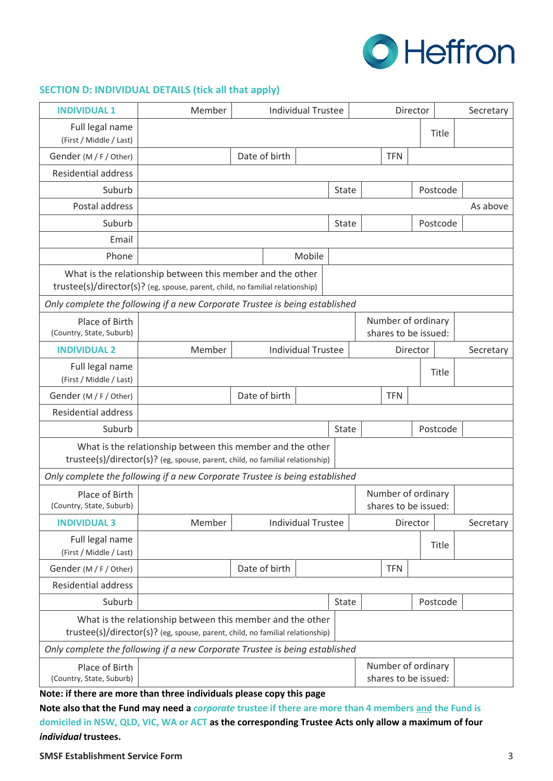

# **SECTION D: INDIVIDUAL DETAILS (tick all that apply)**

| <b>INDIVIDUAL 1</b>                                                         | <b>Individual Trustee</b><br>Member<br>Director                                                                                             |  |               |                           |              | Secretary |                                            |          |          |           |
|-----------------------------------------------------------------------------|---------------------------------------------------------------------------------------------------------------------------------------------|--|---------------|---------------------------|--------------|-----------|--------------------------------------------|----------|----------|-----------|
| Full legal name                                                             |                                                                                                                                             |  |               |                           |              |           |                                            |          | Title    |           |
| (First / Middle / Last)<br>Gender (M / F / Other)                           |                                                                                                                                             |  | Date of birth |                           |              |           | <b>TFN</b>                                 |          |          |           |
| <b>Residential address</b>                                                  |                                                                                                                                             |  |               |                           |              |           |                                            |          |          |           |
| Suburb                                                                      |                                                                                                                                             |  |               |                           | State        |           |                                            |          | Postcode |           |
| Postal address                                                              |                                                                                                                                             |  |               |                           |              |           |                                            |          |          | As above  |
| Suburb                                                                      |                                                                                                                                             |  |               |                           | State        |           |                                            |          | Postcode |           |
| Email                                                                       |                                                                                                                                             |  |               |                           |              |           |                                            |          |          |           |
| Phone                                                                       |                                                                                                                                             |  |               | Mobile                    |              |           |                                            |          |          |           |
|                                                                             | What is the relationship between this member and the other<br>trustee(s)/director(s)? (eg, spouse, parent, child, no familial relationship) |  |               |                           |              |           |                                            |          |          |           |
| Only complete the following if a new Corporate Trustee is being established |                                                                                                                                             |  |               |                           |              |           |                                            |          |          |           |
| Place of Birth<br>(Country, State, Suburb)                                  |                                                                                                                                             |  |               |                           |              |           | Number of ordinary<br>shares to be issued: |          |          |           |
| <b>INDIVIDUAL 2</b>                                                         | Member                                                                                                                                      |  |               | <b>Individual Trustee</b> |              |           |                                            | Director |          | Secretary |
| Full legal name<br>(First / Middle / Last)                                  |                                                                                                                                             |  |               |                           |              |           |                                            |          | Title    |           |
| Gender (M / F / Other)                                                      | Date of birth                                                                                                                               |  |               |                           |              |           | <b>TFN</b>                                 |          |          |           |
| <b>Residential address</b>                                                  |                                                                                                                                             |  |               |                           |              |           |                                            |          |          |           |
| Suburb                                                                      | Postcode<br><b>State</b>                                                                                                                    |  |               |                           |              |           |                                            |          |          |           |
|                                                                             | What is the relationship between this member and the other<br>trustee(s)/director(s)? (eg, spouse, parent, child, no familial relationship) |  |               |                           |              |           |                                            |          |          |           |
|                                                                             | Only complete the following if a new Corporate Trustee is being established                                                                 |  |               |                           |              |           |                                            |          |          |           |
| Place of Birth<br>(Country, State, Suburb)                                  |                                                                                                                                             |  |               |                           |              |           | Number of ordinary<br>shares to be issued: |          |          |           |
| <b>INDIVIDUAL 3</b>                                                         | Member                                                                                                                                      |  |               | <b>Individual Trustee</b> |              |           |                                            | Director |          | Secretary |
| Full legal name<br>(First / Middle / Last)                                  |                                                                                                                                             |  |               |                           |              |           |                                            |          | Title    |           |
| Gender (M / F / Other)                                                      |                                                                                                                                             |  | Date of birth |                           |              |           | <b>TFN</b>                                 |          |          |           |
| <b>Residential address</b>                                                  |                                                                                                                                             |  |               |                           |              |           |                                            |          |          |           |
| Suburb                                                                      |                                                                                                                                             |  |               |                           | <b>State</b> |           |                                            |          | Postcode |           |
|                                                                             | What is the relationship between this member and the other<br>trustee(s)/director(s)? (eg, spouse, parent, child, no familial relationship) |  |               |                           |              |           |                                            |          |          |           |
| Only complete the following if a new Corporate Trustee is being established |                                                                                                                                             |  |               |                           |              |           |                                            |          |          |           |
| Place of Birth<br>(Country, State, Suburb)                                  |                                                                                                                                             |  |               |                           |              |           | Number of ordinary<br>shares to be issued: |          |          |           |

**Note: if there are more than three individuals please copy this page** 

**Note also that the Fund may need a** *corporate* **trustee if there are more than 4 members and the Fund is domiciled in NSW, QLD, VIC, WA or ACT as the corresponding Trustee Acts only allow a maximum of four**  *individual* **trustees.**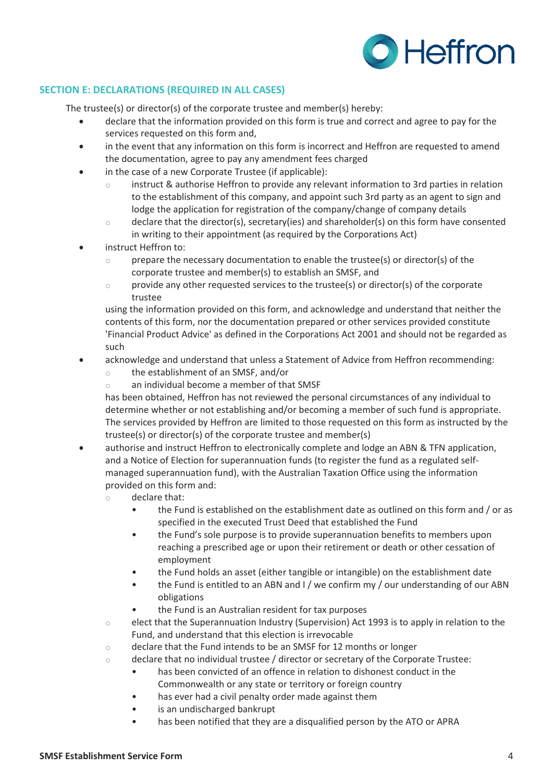

### **SECTION E: DECLARATIONS (REQUIRED IN ALL CASES)**

The trustee(s) or director(s) of the corporate trustee and member(s) hereby:

- declare that the information provided on this form is true and correct and agree to pay for the services requested on this form and,
- in the event that any information on this form is incorrect and Heffron are requested to amend the documentation, agree to pay any amendment fees charged
- in the case of a new Corporate Trustee (if applicable):
	- instruct & authorise Heffron to provide any relevant information to 3rd parties in relation to the establishment of this company, and appoint such 3rd party as an agent to sign and lodge the application for registration of the company/change of company details
	- $\circ$  declare that the director(s), secretary(ies) and shareholder(s) on this form have consented in writing to their appointment (as required by the Corporations Act)
- instruct Heffron to:
	- o prepare the necessary documentation to enable the trustee(s) or director(s) of the corporate trustee and member(s) to establish an SMSF, and
	- $\circ$  provide any other requested services to the trustee(s) or director(s) of the corporate trustee

using the information provided on this form, and acknowledge and understand that neither the contents of this form, nor the documentation prepared or other services provided constitute 'Financial Product Advice' as defined in the Corporations Act 2001 and should not be regarded as such

- acknowledge and understand that unless a Statement of Advice from Heffron recommending:
	- o the establishment of an SMSF, and/or
	- o an individual become a member of that SMSF

has been obtained, Heffron has not reviewed the personal circumstances of any individual to determine whether or not establishing and/or becoming a member of such fund is appropriate. The services provided by Heffron are limited to those requested on this form as instructed by the trustee(s) or director(s) of the corporate trustee and member(s)

- authorise and instruct Heffron to electronically complete and lodge an ABN & TFN application, and a Notice of Election for superannuation funds (to register the fund as a regulated selfmanaged superannuation fund), with the Australian Taxation Office using the information provided on this form and:
	- o declare that:
		- the Fund is established on the establishment date as outlined on this form and / or as specified in the executed Trust Deed that established the Fund
		- the Fund's sole purpose is to provide superannuation benefits to members upon reaching a prescribed age or upon their retirement or death or other cessation of employment
		- the Fund holds an asset (either tangible or intangible) on the establishment date
		- the Fund is entitled to an ABN and I / we confirm my / our understanding of our ABN obligations
		- the Fund is an Australian resident for tax purposes
	- $\circ$  elect that the Superannuation Industry (Supervision) Act 1993 is to apply in relation to the Fund, and understand that this election is irrevocable
	- o declare that the Fund intends to be an SMSF for 12 months or longer
	- $\circ$  declare that no individual trustee / director or secretary of the Corporate Trustee:
		- has been convicted of an offence in relation to dishonest conduct in the Commonwealth or any state or territory or foreign country
		- has ever had a civil penalty order made against them
		- is an undischarged bankrupt
		- has been notified that they are a disqualified person by the ATO or APRA